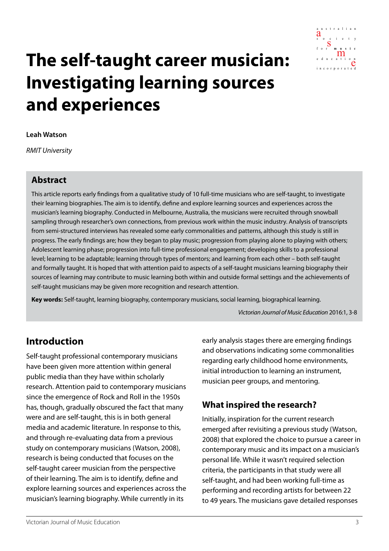

# **The self-taught career musician: Investigating learning sources and experiences**

#### **Leah Watson**

*RMIT University*

#### **Abstract**

This article reports early findings from a qualitative study of 10 full-time musicians who are self-taught, to investigate their learning biographies. The aim is to identify, define and explore learning sources and experiences across the musician's learning biography. Conducted in Melbourne, Australia, the musicians were recruited through snowball sampling through researcher's own connections, from previous work within the music industry. Analysis of transcripts from semi-structured interviews has revealed some early commonalities and patterns, although this study is still in progress. The early findings are; how they began to play music; progression from playing alone to playing with others; Adolescent learning phase; progression into full-time professional engagement; developing skills to a professional level; learning to be adaptable; learning through types of mentors; and learning from each other – both self-taught and formally taught. It is hoped that with attention paid to aspects of a self-taught musicians learning biography their sources of learning may contribute to music learning both within and outside formal settings and the achievements of self-taught musicians may be given more recognition and research attention.

**Key words:** Self-taught, learning biography, contemporary musicians, social learning, biographical learning.

*Victorian Journal of Music Education* 2016:1, 3-8

## **Introduction**

Self-taught professional contemporary musicians have been given more attention within general public media than they have within scholarly research. Attention paid to contemporary musicians since the emergence of Rock and Roll in the 1950s has, though, gradually obscured the fact that many were and are self-taught, this is in both general media and academic literature. In response to this, and through re-evaluating data from a previous study on contemporary musicians (Watson, 2008), research is being conducted that focuses on the self-taught career musician from the perspective of their learning. The aim is to identify, define and explore learning sources and experiences across the musician's learning biography. While currently in its

early analysis stages there are emerging findings and observations indicating some commonalities regarding early childhood home environments, initial introduction to learning an instrument, musician peer groups, and mentoring.

#### **What inspired the research?**

Initially, inspiration for the current research emerged after revisiting a previous study (Watson, 2008) that explored the choice to pursue a career in contemporary music and its impact on a musician's personal life. While it wasn't required selection criteria, the participants in that study were all self-taught, and had been working full-time as performing and recording artists for between 22 to 49 years. The musicians gave detailed responses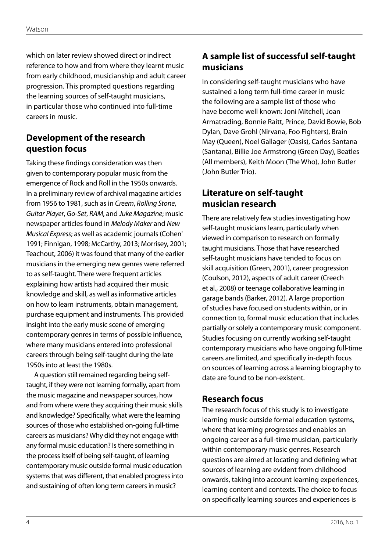which on later review showed direct or indirect reference to how and from where they learnt music from early childhood, musicianship and adult career progression. This prompted questions regarding the learning sources of self-taught musicians, in particular those who continued into full-time careers in music.

## **Development of the research question focus**

Taking these findings consideration was then given to contemporary popular music from the emergence of Rock and Roll in the 1950s onwards. In a preliminary review of archival magazine articles from 1956 to 1981, such as in *Creem*, *Rolling Stone*, *Guitar Player*, *Go-Set*, *RAM*, and *Juke Magazine*; music newspaper articles found in *Melody Maker* and *New Musical Express*; as well as academic journals (Cohen' 1991; Finnigan, 1998; McCarthy, 2013; Morrisey, 2001; Teachout, 2006) it was found that many of the earlier musicians in the emerging new genres were referred to as self-taught. There were frequent articles explaining how artists had acquired their music knowledge and skill, as well as informative articles on how to learn instruments, obtain management, purchase equipment and instruments. This provided insight into the early music scene of emerging contemporary genres in terms of possible influence, where many musicians entered into professional careers through being self-taught during the late 1950s into at least the 1980s.

A question still remained regarding being selftaught, if they were not learning formally, apart from the music magazine and newspaper sources, how and from where were they acquiring their music skills and knowledge? Specifically, what were the learning sources of those who established on-going full-time careers as musicians? Why did they not engage with any formal music education? Is there something in the process itself of being self-taught, of learning contemporary music outside formal music education systems that was different, that enabled progress into and sustaining of often long term careers in music?

## **A sample list of successful self-taught musicians**

In considering self-taught musicians who have sustained a long term full-time career in music the following are a sample list of those who have become well known: Joni Mitchell, Joan Armatrading, Bonnie Raitt, Prince, David Bowie, Bob Dylan, Dave Grohl (Nirvana, Foo Fighters), Brain May (Queen), Noel Gallager (Oasis), Carlos Santana (Santana), Billie Joe Armstrong (Green Day), Beatles (All members), Keith Moon (The Who), John Butler (John Butler Trio).

## **Literature on self-taught musician research**

There are relatively few studies investigating how self-taught musicians learn, particularly when viewed in comparison to research on formally taught musicians. Those that have researched self-taught musicians have tended to focus on skill acquisition (Green, 2001), career progression (Coulson, 2012), aspects of adult career (Creech et al., 2008) or teenage collaborative learning in garage bands (Barker, 2012). A large proportion of studies have focused on students within, or in connection to, formal music education that includes partially or solely a contemporary music component. Studies focusing on currently working self-taught contemporary musicians who have ongoing full-time careers are limited, and specifically in-depth focus on sources of learning across a learning biography to date are found to be non-existent.

#### **Research focus**

The research focus of this study is to investigate learning music outside formal education systems, where that learning progresses and enables an ongoing career as a full-time musician, particularly within contemporary music genres. Research questions are aimed at locating and defining what sources of learning are evident from childhood onwards, taking into account learning experiences, learning content and contexts. The choice to focus on specifically learning sources and experiences is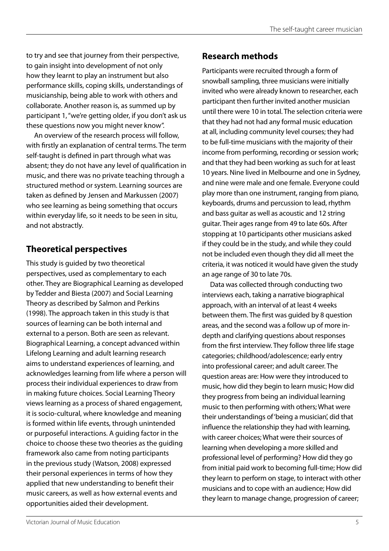to try and see that journey from their perspective, to gain insight into development of not only how they learnt to play an instrument but also performance skills, coping skills, understandings of musicianship, being able to work with others and collaborate. Another reason is, as summed up by participant 1, "we're getting older, if you don't ask us these questions now you might never know".

An overview of the research process will follow, with firstly an explanation of central terms. The term self-taught is defined in part through what was absent; they do not have any level of qualification in music, and there was no private teaching through a structured method or system. Learning sources are taken as defined by Jensen and Markussen (2007) who see learning as being something that occurs within everyday life, so it needs to be seen in situ, and not abstractly.

## **Theoretical perspectives**

This study is guided by two theoretical perspectives, used as complementary to each other. They are Biographical Learning as developed by Tedder and Biesta (2007) and Social Learning Theory as described by Salmon and Perkins (1998). The approach taken in this study is that sources of learning can be both internal and external to a person. Both are seen as relevant. Biographical Learning, a concept advanced within Lifelong Learning and adult learning research aims to understand experiences of learning, and acknowledges learning from life where a person will process their individual experiences to draw from in making future choices. Social Learning Theory views learning as a process of shared engagement, it is socio-cultural, where knowledge and meaning is formed within life events, through unintended or purposeful interactions. A guiding factor in the choice to choose these two theories as the guiding framework also came from noting participants in the previous study (Watson, 2008) expressed their personal experiences in terms of how they applied that new understanding to benefit their music careers, as well as how external events and opportunities aided their development.

## **Research methods**

Participants were recruited through a form of snowball sampling, three musicians were initially invited who were already known to researcher, each participant then further invited another musician until there were 10 in total. The selection criteria were that they had not had any formal music education at all, including community level courses; they had to be full-time musicians with the majority of their income from performing, recording or session work; and that they had been working as such for at least 10 years. Nine lived in Melbourne and one in Sydney, and nine were male and one female. Everyone could play more than one instrument, ranging from piano, keyboards, drums and percussion to lead, rhythm and bass guitar as well as acoustic and 12 string guitar. Their ages range from 49 to late 60s. After stopping at 10 participants other musicians asked if they could be in the study, and while they could not be included even though they did all meet the criteria, it was noticed it would have given the study an age range of 30 to late 70s.

Data was collected through conducting two interviews each, taking a narrative biographical approach, with an interval of at least 4 weeks between them. The first was guided by 8 question areas, and the second was a follow up of more indepth and clarifying questions about responses from the first interview. They follow three life stage categories; childhood/adolescence; early entry into professional career; and adult career. The question areas are: How were they introduced to music, how did they begin to learn music; How did they progress from being an individual learning music to then performing with others; What were their understandings of 'being a musician', did that influence the relationship they had with learning, with career choices; What were their sources of learning when developing a more skilled and professional level of performing? How did they go from initial paid work to becoming full-time; How did they learn to perform on stage, to interact with other musicians and to cope with an audience; How did they learn to manage change, progression of career;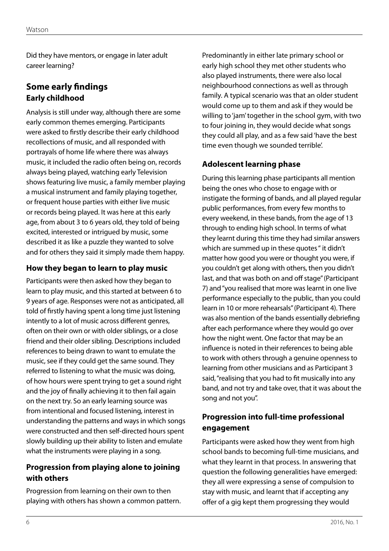Did they have mentors, or engage in later adult career learning?

## **Some early findings Early childhood**

Analysis is still under way, although there are some early common themes emerging. Participants were asked to firstly describe their early childhood recollections of music, and all responded with portrayals of home life where there was always music, it included the radio often being on, records always being played, watching early Television shows featuring live music, a family member playing a musical instrument and family playing together, or frequent house parties with either live music or records being played. It was here at this early age, from about 3 to 6 years old, they told of being excited, interested or intrigued by music, some described it as like a puzzle they wanted to solve and for others they said it simply made them happy.

#### **How they began to learn to play music**

Participants were then asked how they began to learn to play music, and this started at between 6 to 9 years of age. Responses were not as anticipated, all told of firstly having spent a long time just listening intently to a lot of music across different genres, often on their own or with older siblings, or a close friend and their older sibling. Descriptions included references to being drawn to want to emulate the music, see if they could get the same sound. They referred to listening to what the music was doing, of how hours were spent trying to get a sound right and the joy of finally achieving it to then fail again on the next try. So an early learning source was from intentional and focused listening, interest in understanding the patterns and ways in which songs were constructed and then self-directed hours spent slowly building up their ability to listen and emulate what the instruments were playing in a song.

#### **Progression from playing alone to joining with others**

Progression from learning on their own to then playing with others has shown a common pattern. Predominantly in either late primary school or early high school they met other students who also played instruments, there were also local neighbourhood connections as well as through family. A typical scenario was that an older student would come up to them and ask if they would be willing to 'jam' together in the school gym, with two to four joining in, they would decide what songs they could all play, and as a few said 'have the best time even though we sounded terrible'.

#### **Adolescent learning phase**

During this learning phase participants all mention being the ones who chose to engage with or instigate the forming of bands, and all played regular public performances, from every few months to every weekend, in these bands, from the age of 13 through to ending high school. In terms of what they learnt during this time they had similar answers which are summed up in these quotes " it didn't matter how good you were or thought you were, if you couldn't get along with others, then you didn't last, and that was both on and off stage" (Participant 7) and "you realised that more was learnt in one live performance especially to the public, than you could learn in 10 or more rehearsals" (Participant 4). There was also mention of the bands essentially debriefing after each performance where they would go over how the night went. One factor that may be an influence is noted in their references to being able to work with others through a genuine openness to learning from other musicians and as Participant 3 said, "realising that you had to fit musically into any band, and not try and take over, that it was about the song and not you".

### **Progression into full-time professional engagement**

Participants were asked how they went from high school bands to becoming full-time musicians, and what they learnt in that process. In answering that question the following generalities have emerged: they all were expressing a sense of compulsion to stay with music, and learnt that if accepting any offer of a gig kept them progressing they would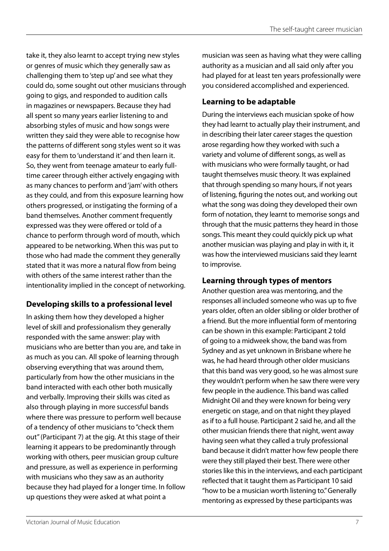take it, they also learnt to accept trying new styles or genres of music which they generally saw as challenging them to 'step up' and see what they could do, some sought out other musicians through going to gigs, and responded to audition calls in magazines or newspapers. Because they had all spent so many years earlier listening to and absorbing styles of music and how songs were written they said they were able to recognise how the patterns of different song styles went so it was easy for them to 'understand it' and then learn it. So, they went from teenage amateur to early fulltime career through either actively engaging with as many chances to perform and 'jam' with others as they could, and from this exposure learning how others progressed, or instigating the forming of a band themselves. Another comment frequently expressed was they were offered or told of a chance to perform through word of mouth, which appeared to be networking. When this was put to those who had made the comment they generally stated that it was more a natural flow from being with others of the same interest rather than the intentionality implied in the concept of networking.

## **Developing skills to a professional level**

In asking them how they developed a higher level of skill and professionalism they generally responded with the same answer: play with musicians who are better than you are, and take in as much as you can. All spoke of learning through observing everything that was around them, particularly from how the other musicians in the band interacted with each other both musically and verbally. Improving their skills was cited as also through playing in more successful bands where there was pressure to perform well because of a tendency of other musicians to "check them out'' (Participant 7) at the gig. At this stage of their learning it appears to be predominantly through working with others, peer musician group culture and pressure, as well as experience in performing with musicians who they saw as an authority because they had played for a longer time. In follow up questions they were asked at what point a

musician was seen as having what they were calling authority as a musician and all said only after you had played for at least ten years professionally were you considered accomplished and experienced.

## **Learning to be adaptable**

During the interviews each musician spoke of how they had learnt to actually play their instrument, and in describing their later career stages the question arose regarding how they worked with such a variety and volume of different songs, as well as with musicians who were formally taught, or had taught themselves music theory. It was explained that through spending so many hours, if not years of listening, figuring the notes out, and working out what the song was doing they developed their own form of notation, they learnt to memorise songs and through that the music patterns they heard in those songs. This meant they could quickly pick up what another musician was playing and play in with it, it was how the interviewed musicians said they learnt to improvise.

## **Learning through types of mentors**

Another question area was mentoring, and the responses all included someone who was up to five years older, often an older sibling or older brother of a friend. But the more influential form of mentoring can be shown in this example: Participant 2 told of going to a midweek show, the band was from Sydney and as yet unknown in Brisbane where he was, he had heard through other older musicians that this band was very good, so he was almost sure they wouldn't perform when he saw there were very few people in the audience. This band was called Midnight Oil and they were known for being very energetic on stage, and on that night they played as if to a full house. Participant 2 said he, and all the other musician friends there that night, went away having seen what they called a truly professional band because it didn't matter how few people there were they still played their best. There were other stories like this in the interviews, and each participant reflected that it taught them as Participant 10 said "how to be a musician worth listening to." Generally mentoring as expressed by these participants was